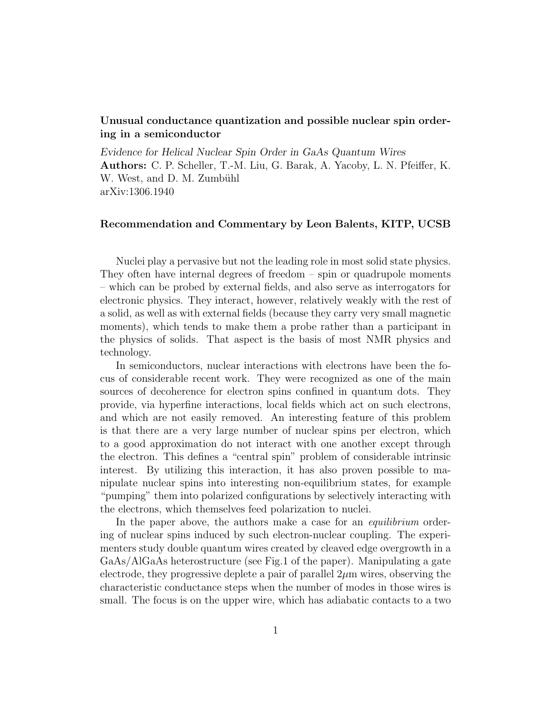## Unusual conductance quantization and possible nuclear spin ordering in a semiconductor

*Evidence for Helical Nuclear Spin Order in GaAs Quantum Wires* Authors: C. P. Scheller, T.-M. Liu, G. Barak, A. Yacoby, L. N. Pfeiffer, K. W. West, and D. M. Zumbühl arXiv:1306.1940

## Recommendation and Commentary by Leon Balents, KITP, UCSB

Nuclei play a pervasive but not the leading role in most solid state physics. They often have internal degrees of freedom – spin or quadrupole moments – which can be probed by external fields, and also serve as interrogators for electronic physics. They interact, however, relatively weakly with the rest of a solid, as well as with external fields (because they carry very small magnetic moments), which tends to make them a probe rather than a participant in the physics of solids. That aspect is the basis of most NMR physics and technology.

In semiconductors, nuclear interactions with electrons have been the focus of considerable recent work. They were recognized as one of the main sources of decoherence for electron spins confined in quantum dots. They provide, via hyperfine interactions, local fields which act on such electrons, and which are not easily removed. An interesting feature of this problem is that there are a very large number of nuclear spins per electron, which to a good approximation do not interact with one another except through the electron. This defines a "central spin" problem of considerable intrinsic interest. By utilizing this interaction, it has also proven possible to manipulate nuclear spins into interesting non-equilibrium states, for example "pumping" them into polarized configurations by selectively interacting with the electrons, which themselves feed polarization to nuclei.

In the paper above, the authors make a case for an *equilibrium* ordering of nuclear spins induced by such electron-nuclear coupling. The experimenters study double quantum wires created by cleaved edge overgrowth in a GaAs/AlGaAs heterostructure (see Fig.1 of the paper). Manipulating a gate electrode, they progressive deplete a pair of parallel  $2\mu$ m wires, observing the characteristic conductance steps when the number of modes in those wires is small. The focus is on the upper wire, which has adiabatic contacts to a two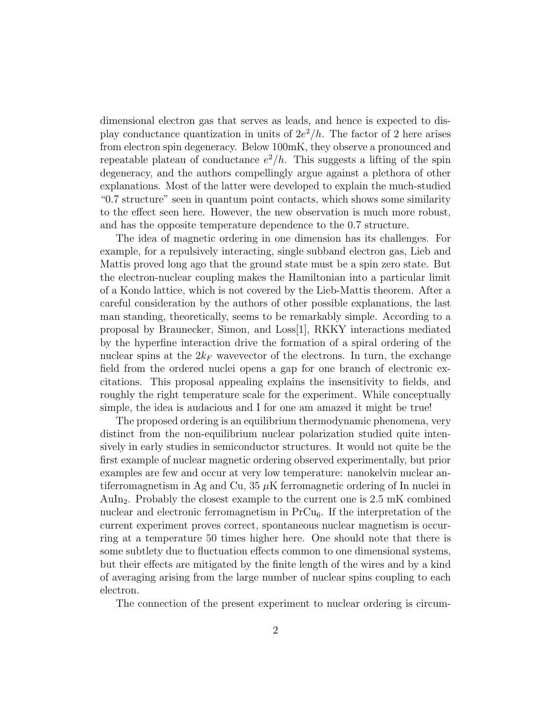dimensional electron gas that serves as leads, and hence is expected to display conductance quantization in units of  $2e^2/h$ . The factor of 2 here arises from electron spin degeneracy. Below 100mK, they observe a pronounced and repeatable plateau of conductance  $e^2/h$ . This suggests a lifting of the spin degeneracy, and the authors compellingly argue against a plethora of other explanations. Most of the latter were developed to explain the much-studied "0.7 structure" seen in quantum point contacts, which shows some similarity to the effect seen here. However, the new observation is much more robust, and has the opposite temperature dependence to the 0.7 structure.

The idea of magnetic ordering in one dimension has its challenges. For example, for a repulsively interacting, single subband electron gas, Lieb and Mattis proved long ago that the ground state must be a spin zero state. But the electron-nuclear coupling makes the Hamiltonian into a particular limit of a Kondo lattice, which is not covered by the Lieb-Mattis theorem. After a careful consideration by the authors of other possible explanations, the last man standing, theoretically, seems to be remarkably simple. According to a proposal by Braunecker, Simon, and Loss[1], RKKY interactions mediated by the hyperfine interaction drive the formation of a spiral ordering of the nuclear spins at the  $2k_F$  wavevector of the electrons. In turn, the exchange field from the ordered nuclei opens a gap for one branch of electronic excitations. This proposal appealing explains the insensitivity to fields, and roughly the right temperature scale for the experiment. While conceptually simple, the idea is audacious and I for one am amazed it might be true!

The proposed ordering is an equilibrium thermodynamic phenomena, very distinct from the non-equilibrium nuclear polarization studied quite intensively in early studies in semiconductor structures. It would not quite be the first example of nuclear magnetic ordering observed experimentally, but prior examples are few and occur at very low temperature: nanokelvin nuclear antiferromagnetism in Ag and Cu,  $35 \mu$ K ferromagnetic ordering of In nuclei in AuIn<sub>2</sub>. Probably the closest example to the current one is  $2.5 \text{ mK}$  combined nuclear and electronic ferromagnetism in  $PrCu<sub>6</sub>$ . If the interpretation of the current experiment proves correct, spontaneous nuclear magnetism is occurring at a temperature 50 times higher here. One should note that there is some subtlety due to fluctuation effects common to one dimensional systems, but their effects are mitigated by the finite length of the wires and by a kind of averaging arising from the large number of nuclear spins coupling to each electron.

The connection of the present experiment to nuclear ordering is circum-